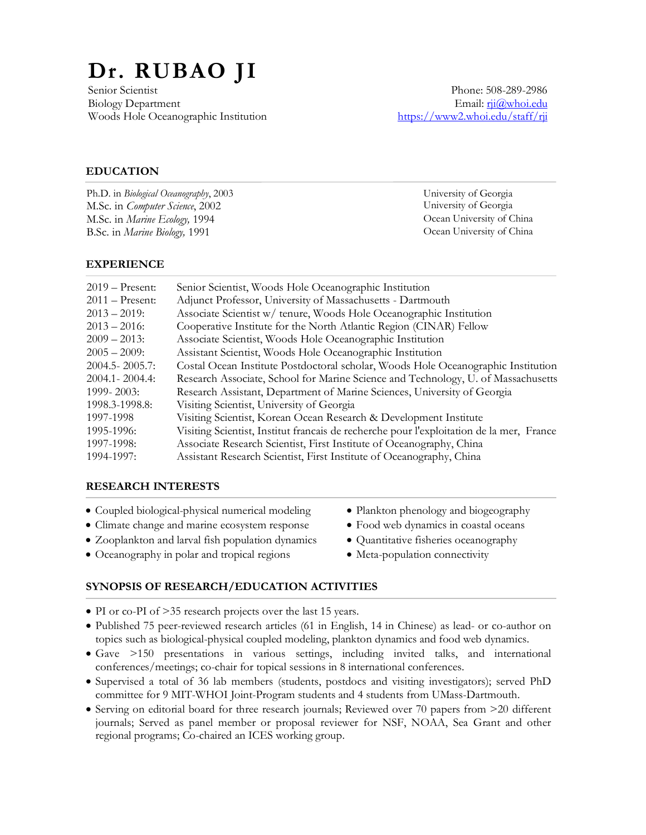# **Dr. RUBAO JI**

Senior Scientist Biology Department Woods Hole Oceanographic Institution

Phone: 508-289-2986 Email: rji@whoi.edu https://www2.whoi.edu/staff/rji

## **EDUCATION**

Ph.D. in *Biological Oceanography*, 2003 University of Georgia M.Sc. in *Computer Science*, 2002 University of Georgia M.Sc. in *Marine Ecology,* 1994 Cocan University of China<br>
B.Sc. in *Marine Biology,* 1991 Cocan University of China B.Sc. in *Marine Biology*, 1991

### **EXPERIENCE**

| 2019 – Present:   | Senior Scientist, Woods Hole Oceanographic Institution                                   |
|-------------------|------------------------------------------------------------------------------------------|
| $2011 -$ Present: | Adjunct Professor, University of Massachusetts - Dartmouth                               |
| $2013 - 2019$ :   | Associate Scientist w/ tenure, Woods Hole Oceanographic Institution                      |
| $2013 - 2016$ :   | Cooperative Institute for the North Atlantic Region (CINAR) Fellow                       |
| $2009 - 2013$ :   | Associate Scientist, Woods Hole Oceanographic Institution                                |
| $2005 - 2009$ :   | Assistant Scientist, Woods Hole Oceanographic Institution                                |
| 2004.5-2005.7:    | Costal Ocean Institute Postdoctoral scholar, Woods Hole Oceanographic Institution        |
| 2004.1-2004.4:    | Research Associate, School for Marine Science and Technology, U. of Massachusetts        |
| 1999-2003:        | Research Assistant, Department of Marine Sciences, University of Georgia                 |
| 1998.3-1998.8:    | Visiting Scientist, University of Georgia                                                |
| 1997-1998         | Visiting Scientist, Korean Ocean Research & Development Institute                        |
| 1995-1996:        | Visiting Scientist, Institut francais de recherche pour l'exploitation de la mer, France |
| 1997-1998:        | Associate Research Scientist, First Institute of Oceanography, China                     |
| 1994-1997:        | Assistant Research Scientist, First Institute of Oceanography, China                     |

#### **RESEARCH INTERESTS**

- Coupled biological-physical numerical modeling
- Climate change and marine ecosystem response
- Zooplankton and larval fish population dynamics
- Oceanography in polar and tropical regions
- Plankton phenology and biogeography
- Food web dynamics in coastal oceans
- Quantitative fisheries oceanography
- Meta-population connectivity

#### **SYNOPSIS OF RESEARCH/EDUCATION ACTIVITIES**

- PI or co-PI of >35 research projects over the last 15 years.
- Published 75 peer-reviewed research articles (61 in English, 14 in Chinese) as lead- or co-author on topics such as biological-physical coupled modeling, plankton dynamics and food web dynamics.
- Gave >150 presentations in various settings, including invited talks, and international conferences/meetings; co-chair for topical sessions in 8 international conferences.
- Supervised a total of 36 lab members (students, postdocs and visiting investigators); served PhD committee for 9 MIT-WHOI Joint-Program students and 4 students from UMass-Dartmouth.
- Serving on editorial board for three research journals; Reviewed over 70 papers from >20 different journals; Served as panel member or proposal reviewer for NSF, NOAA, Sea Grant and other regional programs; Co-chaired an ICES working group.